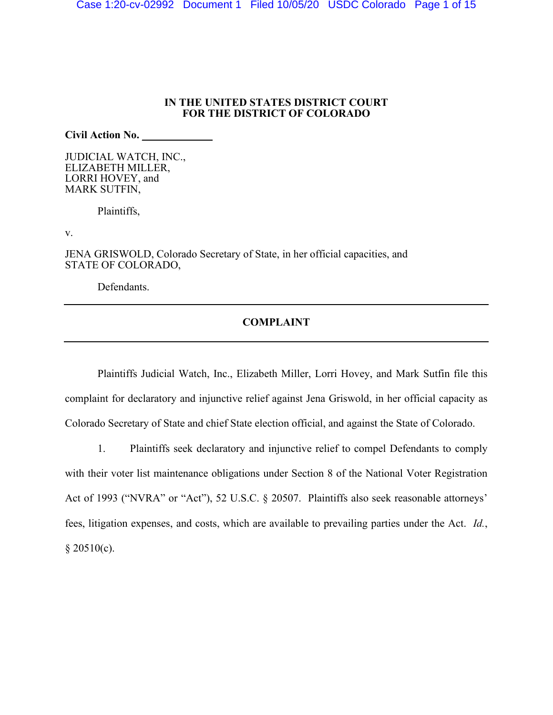## **IN THE UNITED STATES DISTRICT COURT FOR THE DISTRICT OF COLORADO**

**Civil Action No.** \_\_\_\_\_\_\_\_\_\_\_\_\_

JUDICIAL WATCH, INC., ELIZABETH MILLER, LORRI HOVEY, and MARK SUTFIN,

Plaintiffs,

v.

JENA GRISWOLD, Colorado Secretary of State, in her official capacities, and STATE OF COLORADO,

Defendants.

# **COMPLAINT**

Plaintiffs Judicial Watch, Inc., Elizabeth Miller, Lorri Hovey, and Mark Sutfin file this complaint for declaratory and injunctive relief against Jena Griswold, in her official capacity as Colorado Secretary of State and chief State election official, and against the State of Colorado.

1. Plaintiffs seek declaratory and injunctive relief to compel Defendants to comply with their voter list maintenance obligations under Section 8 of the National Voter Registration Act of 1993 ("NVRA" or "Act"), 52 U.S.C. § 20507. Plaintiffs also seek reasonable attorneys' fees, litigation expenses, and costs, which are available to prevailing parties under the Act. *Id.*,  $§ 20510(c).$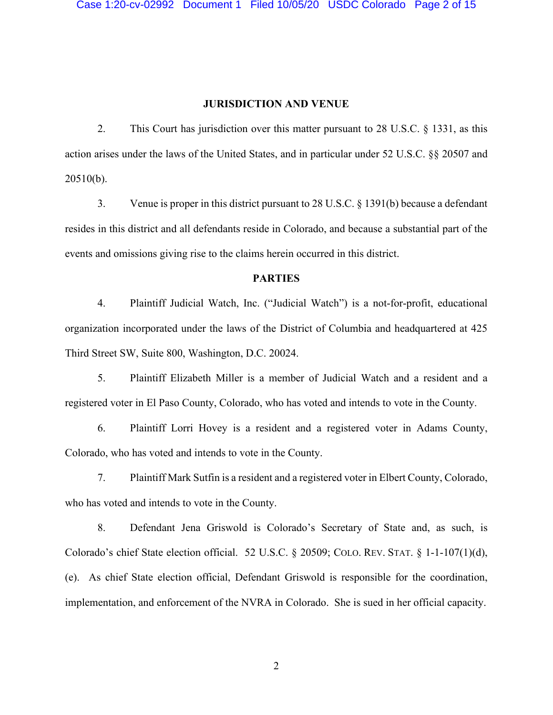#### **JURISDICTION AND VENUE**

2. This Court has jurisdiction over this matter pursuant to 28 U.S.C. § 1331, as this action arises under the laws of the United States, and in particular under 52 U.S.C. §§ 20507 and 20510(b).

3. Venue is proper in this district pursuant to 28 U.S.C. § 1391(b) because a defendant resides in this district and all defendants reside in Colorado, and because a substantial part of the events and omissions giving rise to the claims herein occurred in this district.

# **PARTIES**

4. Plaintiff Judicial Watch, Inc. ("Judicial Watch") is a not-for-profit, educational organization incorporated under the laws of the District of Columbia and headquartered at 425 Third Street SW, Suite 800, Washington, D.C. 20024.

5. Plaintiff Elizabeth Miller is a member of Judicial Watch and a resident and a registered voter in El Paso County, Colorado, who has voted and intends to vote in the County.

6. Plaintiff Lorri Hovey is a resident and a registered voter in Adams County, Colorado, who has voted and intends to vote in the County.

7. Plaintiff Mark Sutfin is a resident and a registered voter in Elbert County, Colorado, who has voted and intends to vote in the County.

8. Defendant Jena Griswold is Colorado's Secretary of State and, as such, is Colorado's chief State election official. 52 U.S.C. § 20509; COLO. REV. STAT. § 1-1-107(1)(d), (e). As chief State election official, Defendant Griswold is responsible for the coordination, implementation, and enforcement of the NVRA in Colorado. She is sued in her official capacity.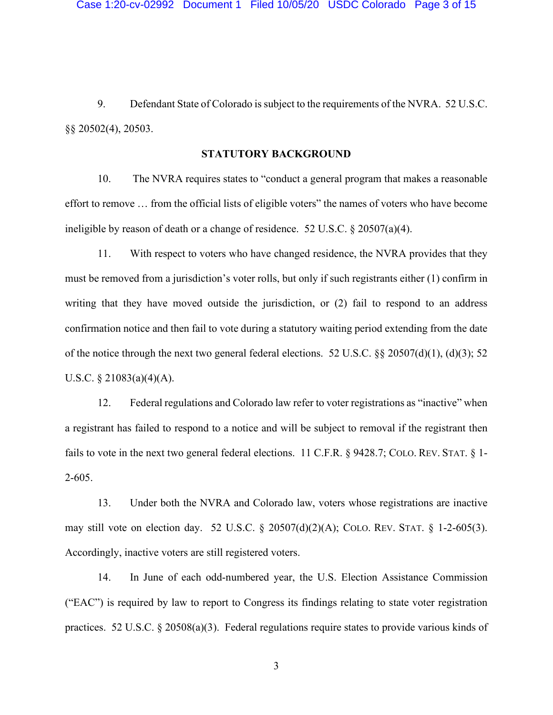9. Defendant State of Colorado is subject to the requirements of the NVRA. 52 U.S.C. §§ 20502(4), 20503.

# **STATUTORY BACKGROUND**

10. The NVRA requires states to "conduct a general program that makes a reasonable effort to remove … from the official lists of eligible voters" the names of voters who have become ineligible by reason of death or a change of residence. 52 U.S.C. § 20507(a)(4).

11. With respect to voters who have changed residence, the NVRA provides that they must be removed from a jurisdiction's voter rolls, but only if such registrants either (1) confirm in writing that they have moved outside the jurisdiction, or (2) fail to respond to an address confirmation notice and then fail to vote during a statutory waiting period extending from the date of the notice through the next two general federal elections. 52 U.S.C.  $\S 20507(d)(1)$ ,  $(d)(3)$ ; 52 U.S.C.  $\S$  21083(a)(4)(A).

12. Federal regulations and Colorado law refer to voter registrations as "inactive" when a registrant has failed to respond to a notice and will be subject to removal if the registrant then fails to vote in the next two general federal elections. 11 C.F.R. § 9428.7; COLO. REV. STAT. § 1-2-605.

13. Under both the NVRA and Colorado law, voters whose registrations are inactive may still vote on election day. 52 U.S.C. § 20507(d)(2)(A); COLO. REV. STAT. § 1-2-605(3). Accordingly, inactive voters are still registered voters.

14. In June of each odd-numbered year, the U.S. Election Assistance Commission ("EAC") is required by law to report to Congress its findings relating to state voter registration practices. 52 U.S.C. § 20508(a)(3). Federal regulations require states to provide various kinds of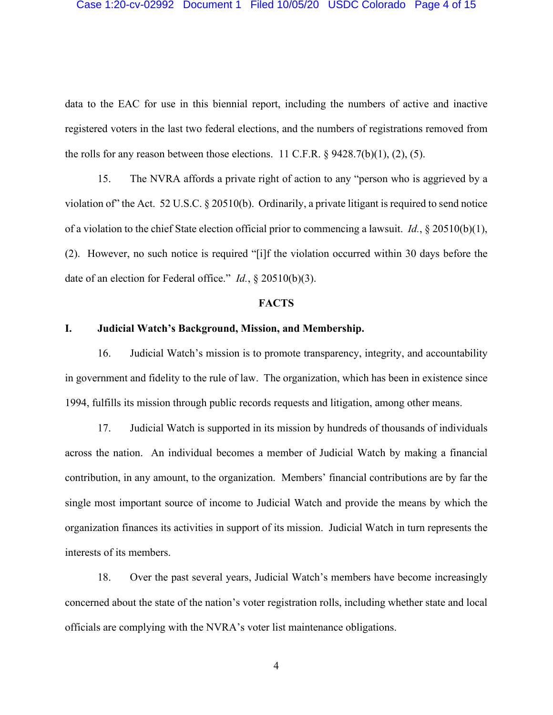#### Case 1:20-cv-02992 Document 1 Filed 10/05/20 USDC Colorado Page 4 of 15

data to the EAC for use in this biennial report, including the numbers of active and inactive registered voters in the last two federal elections, and the numbers of registrations removed from the rolls for any reason between those elections. 11 C.F.R.  $\S$  9428.7(b)(1), (2), (5).

15. The NVRA affords a private right of action to any "person who is aggrieved by a violation of" the Act. 52 U.S.C. § 20510(b). Ordinarily, a private litigant is required to send notice of a violation to the chief State election official prior to commencing a lawsuit. *Id.*, § 20510(b)(1), (2). However, no such notice is required "[i]f the violation occurred within 30 days before the date of an election for Federal office." *Id.*, § 20510(b)(3).

## **FACTS**

# **I. Judicial Watch's Background, Mission, and Membership.**

16. Judicial Watch's mission is to promote transparency, integrity, and accountability in government and fidelity to the rule of law. The organization, which has been in existence since 1994, fulfills its mission through public records requests and litigation, among other means.

17. Judicial Watch is supported in its mission by hundreds of thousands of individuals across the nation. An individual becomes a member of Judicial Watch by making a financial contribution, in any amount, to the organization. Members' financial contributions are by far the single most important source of income to Judicial Watch and provide the means by which the organization finances its activities in support of its mission. Judicial Watch in turn represents the interests of its members.

18. Over the past several years, Judicial Watch's members have become increasingly concerned about the state of the nation's voter registration rolls, including whether state and local officials are complying with the NVRA's voter list maintenance obligations.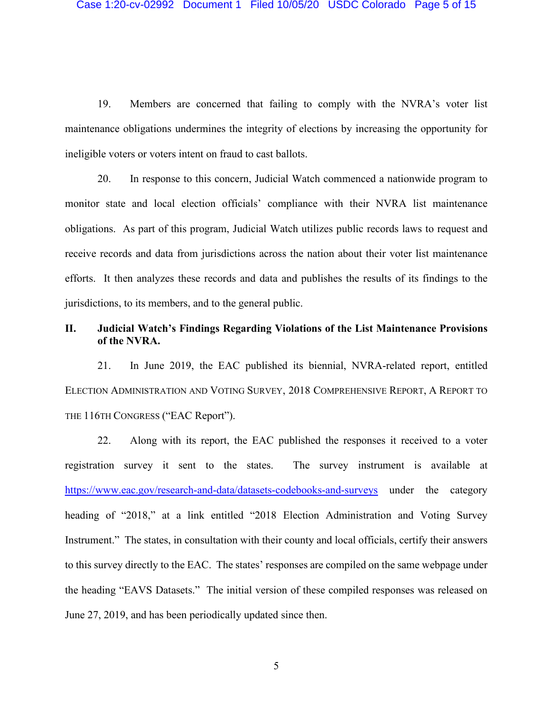19. Members are concerned that failing to comply with the NVRA's voter list maintenance obligations undermines the integrity of elections by increasing the opportunity for ineligible voters or voters intent on fraud to cast ballots.

20. In response to this concern, Judicial Watch commenced a nationwide program to monitor state and local election officials' compliance with their NVRA list maintenance obligations. As part of this program, Judicial Watch utilizes public records laws to request and receive records and data from jurisdictions across the nation about their voter list maintenance efforts. It then analyzes these records and data and publishes the results of its findings to the jurisdictions, to its members, and to the general public.

# **II. Judicial Watch's Findings Regarding Violations of the List Maintenance Provisions of the NVRA.**

21. In June 2019, the EAC published its biennial, NVRA-related report, entitled ELECTION ADMINISTRATION AND VOTING SURVEY, 2018 COMPREHENSIVE REPORT, A REPORT TO THE 116TH CONGRESS ("EAC Report").

22. Along with its report, the EAC published the responses it received to a voter registration survey it sent to the states. The survey instrument is available at <https://www.eac.gov/research-and-data/datasets-codebooks-and-surveys> under the category heading of "2018," at a link entitled "2018 Election Administration and Voting Survey Instrument." The states, in consultation with their county and local officials, certify their answers to this survey directly to the EAC. The states' responses are compiled on the same webpage under the heading "EAVS Datasets." The initial version of these compiled responses was released on June 27, 2019, and has been periodically updated since then.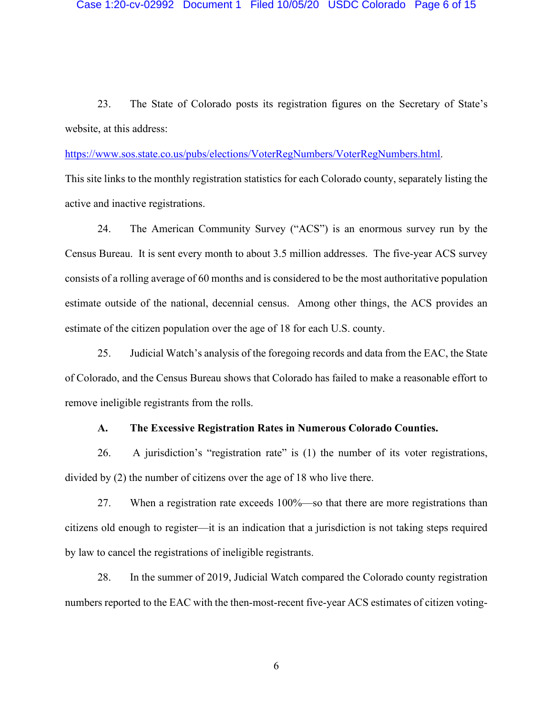23. The State of Colorado posts its registration figures on the Secretary of State's website, at this address:

[https://www.sos.state.co.us/pubs/elections/VoterRegNumbers/VoterRegNumbers.html.](https://www.sos.state.co.us/pubs/elections/VoterRegNumbers/VoterRegNumbers.html)

This site links to the monthly registration statistics for each Colorado county, separately listing the active and inactive registrations.

24. The American Community Survey ("ACS") is an enormous survey run by the Census Bureau. It is sent every month to about 3.5 million addresses. The five-year ACS survey consists of a rolling average of 60 months and is considered to be the most authoritative population estimate outside of the national, decennial census. Among other things, the ACS provides an estimate of the citizen population over the age of 18 for each U.S. county.

25. Judicial Watch's analysis of the foregoing records and data from the EAC, the State of Colorado, and the Census Bureau shows that Colorado has failed to make a reasonable effort to remove ineligible registrants from the rolls.

# **A. The Excessive Registration Rates in Numerous Colorado Counties.**

26. A jurisdiction's "registration rate" is (1) the number of its voter registrations, divided by (2) the number of citizens over the age of 18 who live there.

27. When a registration rate exceeds 100%—so that there are more registrations than citizens old enough to register—it is an indication that a jurisdiction is not taking steps required by law to cancel the registrations of ineligible registrants.

28. In the summer of 2019, Judicial Watch compared the Colorado county registration numbers reported to the EAC with the then-most-recent five-year ACS estimates of citizen voting-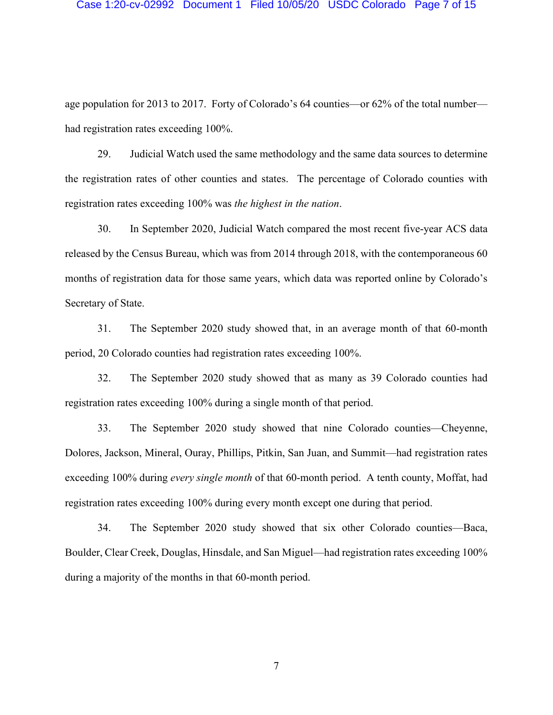#### Case 1:20-cv-02992 Document 1 Filed 10/05/20 USDC Colorado Page 7 of 15

age population for 2013 to 2017. Forty of Colorado's 64 counties—or 62% of the total number had registration rates exceeding 100%.

29. Judicial Watch used the same methodology and the same data sources to determine the registration rates of other counties and states. The percentage of Colorado counties with registration rates exceeding 100% was *the highest in the nation*.

30. In September 2020, Judicial Watch compared the most recent five-year ACS data released by the Census Bureau, which was from 2014 through 2018, with the contemporaneous 60 months of registration data for those same years, which data was reported online by Colorado's Secretary of State.

31. The September 2020 study showed that, in an average month of that 60-month period, 20 Colorado counties had registration rates exceeding 100%.

32. The September 2020 study showed that as many as 39 Colorado counties had registration rates exceeding 100% during a single month of that period.

33. The September 2020 study showed that nine Colorado counties—Cheyenne, Dolores, Jackson, Mineral, Ouray, Phillips, Pitkin, San Juan, and Summit—had registration rates exceeding 100% during *every single month* of that 60-month period. A tenth county, Moffat, had registration rates exceeding 100% during every month except one during that period.

34. The September 2020 study showed that six other Colorado counties—Baca, Boulder, Clear Creek, Douglas, Hinsdale, and San Miguel—had registration rates exceeding 100% during a majority of the months in that 60-month period.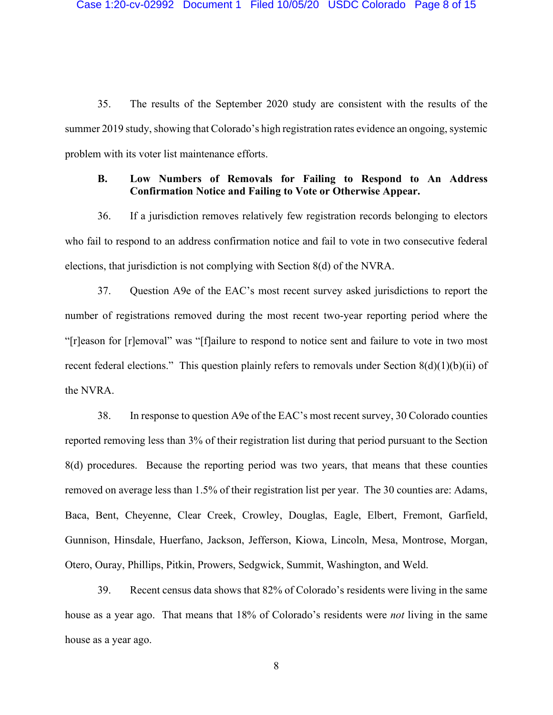35. The results of the September 2020 study are consistent with the results of the summer 2019 study, showing that Colorado's high registration rates evidence an ongoing, systemic problem with its voter list maintenance efforts.

# **B. Low Numbers of Removals for Failing to Respond to An Address Confirmation Notice and Failing to Vote or Otherwise Appear.**

36. If a jurisdiction removes relatively few registration records belonging to electors who fail to respond to an address confirmation notice and fail to vote in two consecutive federal elections, that jurisdiction is not complying with Section 8(d) of the NVRA.

37. Question A9e of the EAC's most recent survey asked jurisdictions to report the number of registrations removed during the most recent two-year reporting period where the "[r]eason for [r]emoval" was "[f]ailure to respond to notice sent and failure to vote in two most recent federal elections." This question plainly refers to removals under Section 8(d)(1)(b)(ii) of the NVRA.

38. In response to question A9e of the EAC's most recent survey, 30 Colorado counties reported removing less than 3% of their registration list during that period pursuant to the Section 8(d) procedures. Because the reporting period was two years, that means that these counties removed on average less than 1.5% of their registration list per year. The 30 counties are: Adams, Baca, Bent, Cheyenne, Clear Creek, Crowley, Douglas, Eagle, Elbert, Fremont, Garfield, Gunnison, Hinsdale, Huerfano, Jackson, Jefferson, Kiowa, Lincoln, Mesa, Montrose, Morgan, Otero, Ouray, Phillips, Pitkin, Prowers, Sedgwick, Summit, Washington, and Weld.

39. Recent census data shows that 82% of Colorado's residents were living in the same house as a year ago. That means that 18% of Colorado's residents were *not* living in the same house as a year ago.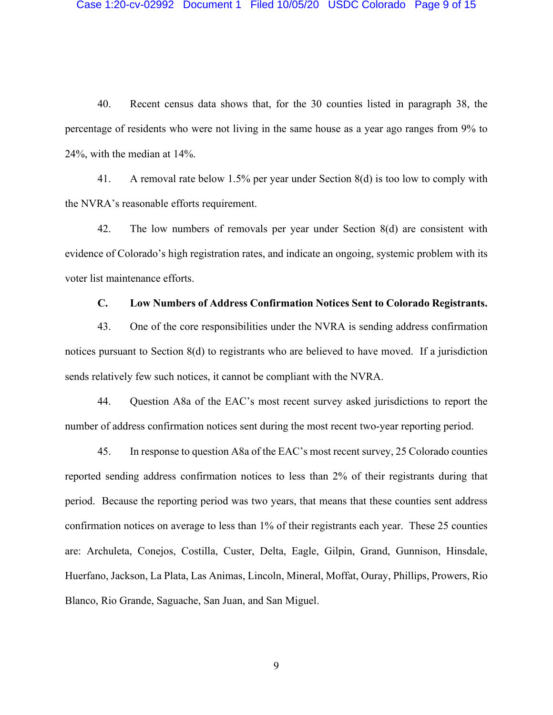40. Recent census data shows that, for the 30 counties listed in paragraph 38, the percentage of residents who were not living in the same house as a year ago ranges from 9% to 24%, with the median at 14%.

41. A removal rate below 1.5% per year under Section 8(d) is too low to comply with the NVRA's reasonable efforts requirement.

42. The low numbers of removals per year under Section 8(d) are consistent with evidence of Colorado's high registration rates, and indicate an ongoing, systemic problem with its voter list maintenance efforts.

## **C. Low Numbers of Address Confirmation Notices Sent to Colorado Registrants.**

43. One of the core responsibilities under the NVRA is sending address confirmation notices pursuant to Section 8(d) to registrants who are believed to have moved. If a jurisdiction sends relatively few such notices, it cannot be compliant with the NVRA.

44. Question A8a of the EAC's most recent survey asked jurisdictions to report the number of address confirmation notices sent during the most recent two-year reporting period.

45. In response to question A8a of the EAC's most recent survey, 25 Colorado counties reported sending address confirmation notices to less than 2% of their registrants during that period. Because the reporting period was two years, that means that these counties sent address confirmation notices on average to less than 1% of their registrants each year. These 25 counties are: Archuleta, Conejos, Costilla, Custer, Delta, Eagle, Gilpin, Grand, Gunnison, Hinsdale, Huerfano, Jackson, La Plata, Las Animas, Lincoln, Mineral, Moffat, Ouray, Phillips, Prowers, Rio Blanco, Rio Grande, Saguache, San Juan, and San Miguel.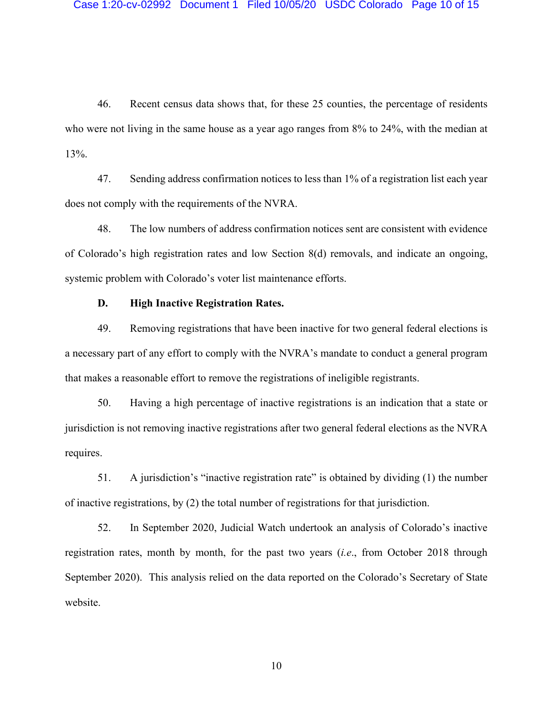46. Recent census data shows that, for these 25 counties, the percentage of residents who were not living in the same house as a year ago ranges from 8% to 24%, with the median at 13%.

47. Sending address confirmation notices to less than 1% of a registration list each year does not comply with the requirements of the NVRA.

48. The low numbers of address confirmation notices sent are consistent with evidence of Colorado's high registration rates and low Section 8(d) removals, and indicate an ongoing, systemic problem with Colorado's voter list maintenance efforts.

# **D. High Inactive Registration Rates.**

49. Removing registrations that have been inactive for two general federal elections is a necessary part of any effort to comply with the NVRA's mandate to conduct a general program that makes a reasonable effort to remove the registrations of ineligible registrants.

50. Having a high percentage of inactive registrations is an indication that a state or jurisdiction is not removing inactive registrations after two general federal elections as the NVRA requires.

51. A jurisdiction's "inactive registration rate" is obtained by dividing (1) the number of inactive registrations, by (2) the total number of registrations for that jurisdiction.

52. In September 2020, Judicial Watch undertook an analysis of Colorado's inactive registration rates, month by month, for the past two years (*i.e*., from October 2018 through September 2020). This analysis relied on the data reported on the Colorado's Secretary of State website.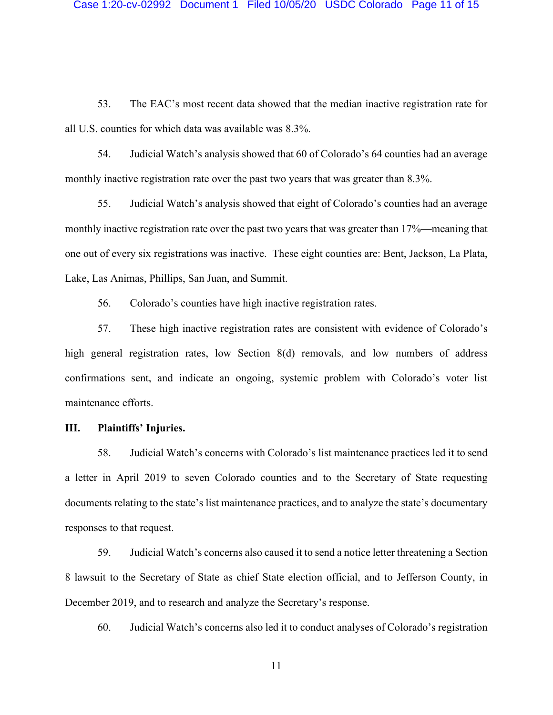53. The EAC's most recent data showed that the median inactive registration rate for all U.S. counties for which data was available was 8.3%.

54. Judicial Watch's analysis showed that 60 of Colorado's 64 counties had an average monthly inactive registration rate over the past two years that was greater than 8.3%.

55. Judicial Watch's analysis showed that eight of Colorado's counties had an average monthly inactive registration rate over the past two years that was greater than 17%—meaning that one out of every six registrations was inactive. These eight counties are: Bent, Jackson, La Plata, Lake, Las Animas, Phillips, San Juan, and Summit.

56. Colorado's counties have high inactive registration rates.

57. These high inactive registration rates are consistent with evidence of Colorado's high general registration rates, low Section 8(d) removals, and low numbers of address confirmations sent, and indicate an ongoing, systemic problem with Colorado's voter list maintenance efforts.

# **III. Plaintiffs' Injuries.**

58. Judicial Watch's concerns with Colorado's list maintenance practices led it to send a letter in April 2019 to seven Colorado counties and to the Secretary of State requesting documents relating to the state's list maintenance practices, and to analyze the state's documentary responses to that request.

59. Judicial Watch's concerns also caused it to send a notice letter threatening a Section 8 lawsuit to the Secretary of State as chief State election official, and to Jefferson County, in December 2019, and to research and analyze the Secretary's response.

60. Judicial Watch's concerns also led it to conduct analyses of Colorado's registration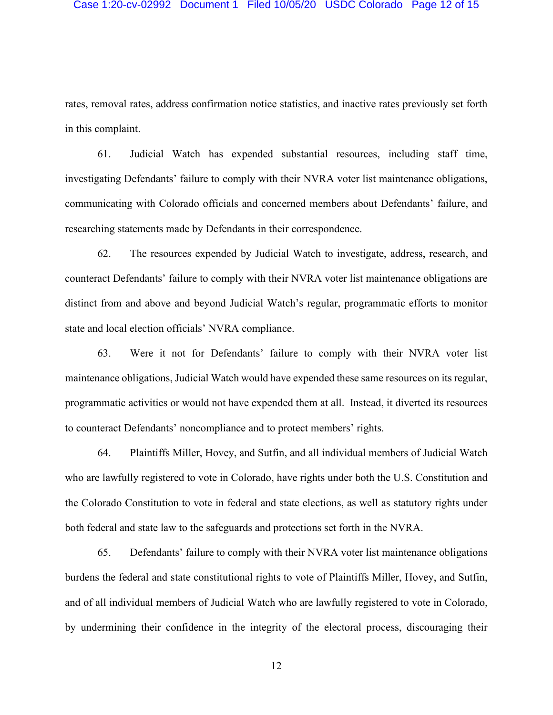rates, removal rates, address confirmation notice statistics, and inactive rates previously set forth in this complaint.

61. Judicial Watch has expended substantial resources, including staff time, investigating Defendants' failure to comply with their NVRA voter list maintenance obligations, communicating with Colorado officials and concerned members about Defendants' failure, and researching statements made by Defendants in their correspondence.

62. The resources expended by Judicial Watch to investigate, address, research, and counteract Defendants' failure to comply with their NVRA voter list maintenance obligations are distinct from and above and beyond Judicial Watch's regular, programmatic efforts to monitor state and local election officials' NVRA compliance.

63. Were it not for Defendants' failure to comply with their NVRA voter list maintenance obligations, Judicial Watch would have expended these same resources on its regular, programmatic activities or would not have expended them at all. Instead, it diverted its resources to counteract Defendants' noncompliance and to protect members' rights.

64. Plaintiffs Miller, Hovey, and Sutfin, and all individual members of Judicial Watch who are lawfully registered to vote in Colorado, have rights under both the U.S. Constitution and the Colorado Constitution to vote in federal and state elections, as well as statutory rights under both federal and state law to the safeguards and protections set forth in the NVRA.

65. Defendants' failure to comply with their NVRA voter list maintenance obligations burdens the federal and state constitutional rights to vote of Plaintiffs Miller, Hovey, and Sutfin, and of all individual members of Judicial Watch who are lawfully registered to vote in Colorado, by undermining their confidence in the integrity of the electoral process, discouraging their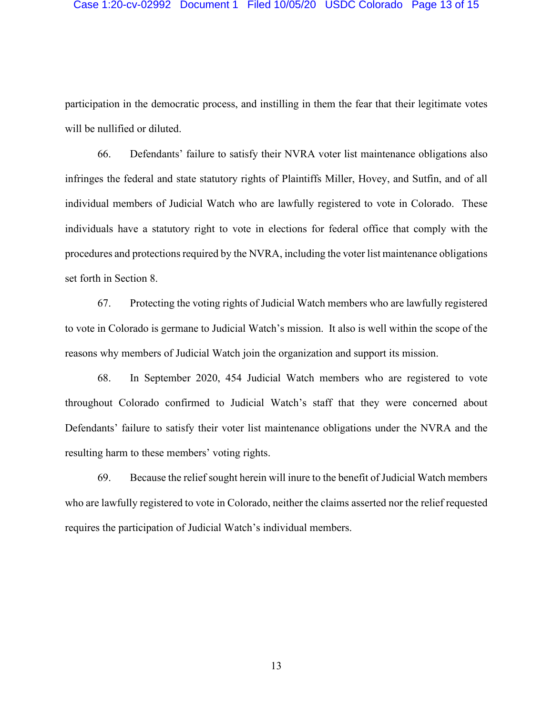participation in the democratic process, and instilling in them the fear that their legitimate votes will be nullified or diluted.

66. Defendants' failure to satisfy their NVRA voter list maintenance obligations also infringes the federal and state statutory rights of Plaintiffs Miller, Hovey, and Sutfin, and of all individual members of Judicial Watch who are lawfully registered to vote in Colorado. These individuals have a statutory right to vote in elections for federal office that comply with the procedures and protections required by the NVRA, including the voter list maintenance obligations set forth in Section 8.

67. Protecting the voting rights of Judicial Watch members who are lawfully registered to vote in Colorado is germane to Judicial Watch's mission. It also is well within the scope of the reasons why members of Judicial Watch join the organization and support its mission.

68. In September 2020, 454 Judicial Watch members who are registered to vote throughout Colorado confirmed to Judicial Watch's staff that they were concerned about Defendants' failure to satisfy their voter list maintenance obligations under the NVRA and the resulting harm to these members' voting rights.

69. Because the relief sought herein will inure to the benefit of Judicial Watch members who are lawfully registered to vote in Colorado, neither the claims asserted nor the relief requested requires the participation of Judicial Watch's individual members.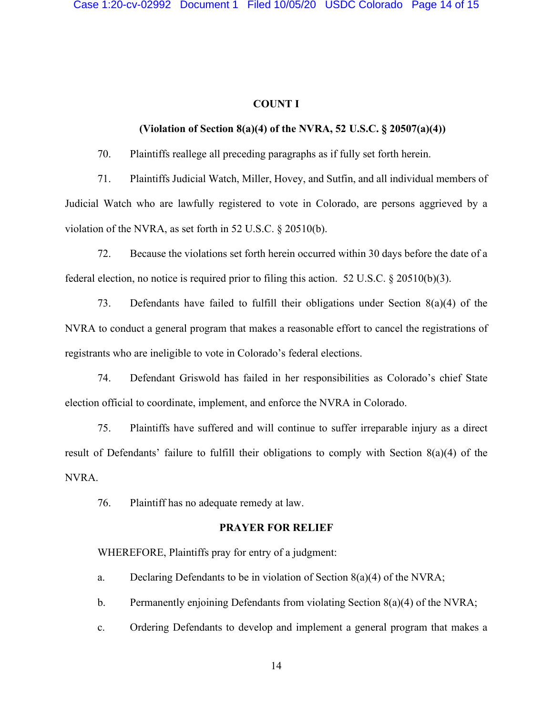# **COUNT I**

# **(Violation of Section 8(a)(4) of the NVRA, 52 U.S.C. § 20507(a)(4))**

70. Plaintiffs reallege all preceding paragraphs as if fully set forth herein.

71. Plaintiffs Judicial Watch, Miller, Hovey, and Sutfin, and all individual members of Judicial Watch who are lawfully registered to vote in Colorado, are persons aggrieved by a violation of the NVRA, as set forth in 52 U.S.C. § 20510(b).

72. Because the violations set forth herein occurred within 30 days before the date of a federal election, no notice is required prior to filing this action. 52 U.S.C. § 20510(b)(3).

73. Defendants have failed to fulfill their obligations under Section 8(a)(4) of the NVRA to conduct a general program that makes a reasonable effort to cancel the registrations of registrants who are ineligible to vote in Colorado's federal elections.

74. Defendant Griswold has failed in her responsibilities as Colorado's chief State election official to coordinate, implement, and enforce the NVRA in Colorado.

75. Plaintiffs have suffered and will continue to suffer irreparable injury as a direct result of Defendants' failure to fulfill their obligations to comply with Section 8(a)(4) of the NVRA.

76. Plaintiff has no adequate remedy at law.

# **PRAYER FOR RELIEF**

WHEREFORE, Plaintiffs pray for entry of a judgment:

- a. Declaring Defendants to be in violation of Section  $8(a)(4)$  of the NVRA;
- b. Permanently enjoining Defendants from violating Section  $8(a)(4)$  of the NVRA;
- c. Ordering Defendants to develop and implement a general program that makes a